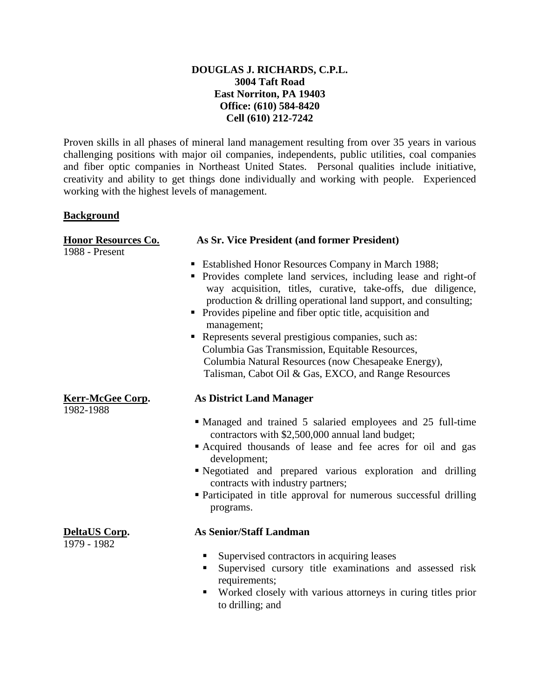# **DOUGLAS J. RICHARDS, C.P.L. 3004 Taft Road East Norriton, PA 19403 Office: (610) 584-8420 Cell (610) 212-7242**

Proven skills in all phases of mineral land management resulting from over 35 years in various challenging positions with major oil companies, independents, public utilities, coal companies and fiber optic companies in Northeast United States. Personal qualities include initiative, creativity and ability to get things done individually and working with people. Experienced working with the highest levels of management.

## **Background**

# 1988 - Present

1982-1988

1979 - 1982

# **Honor Resources Co. As Sr. Vice President (and former President)**

- Established Honor Resources Company in March 1988;
- Provides complete land services, including lease and right-of way acquisition, titles, curative, take-offs, due diligence, production & drilling operational land support, and consulting;
- **Provides pipeline and fiber optic title, acquisition and** management;
- Represents several prestigious companies, such as: Columbia Gas Transmission, Equitable Resources, Columbia Natural Resources (now Chesapeake Energy), Talisman, Cabot Oil & Gas, EXCO, and Range Resources

## **Kerr-McGee Corp. As District Land Manager**

- Managed and trained 5 salaried employees and 25 full-time contractors with \$2,500,000 annual land budget;
- Acquired thousands of lease and fee acres for oil and gas development;
- Negotiated and prepared various exploration and drilling contracts with industry partners;
- Participated in title approval for numerous successful drilling programs.

## **DeltaUS Corp. As Senior/Staff Landman**

- Supervised contractors in acquiring leases
- Supervised cursory title examinations and assessed risk requirements;
- Worked closely with various attorneys in curing titles prior to drilling; and